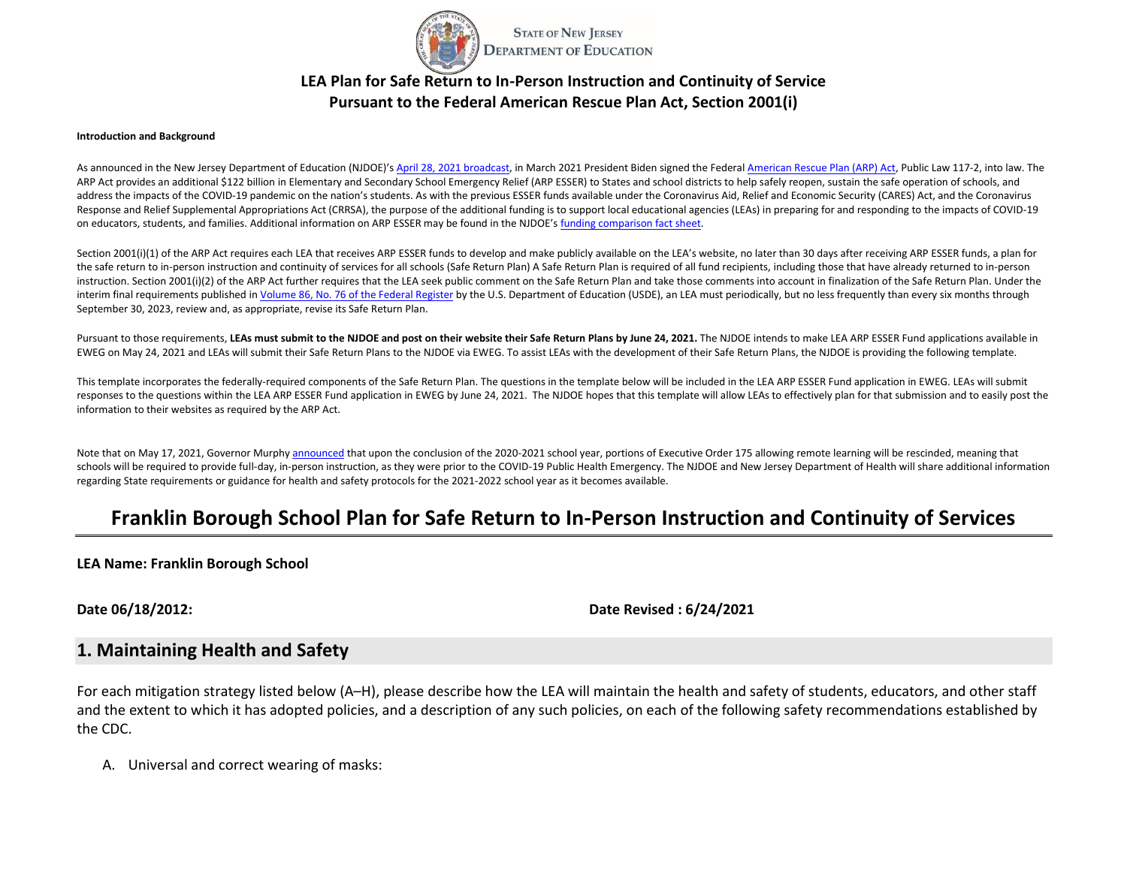

# **LEA Plan for Safe Return to In-Person Instruction and Continuity of Service Pursuant to the Federal American Rescue Plan Act, Section 2001(i)**

#### **Introduction and Background**

As announced in the New Jersey Department of Education (NJDOE)'s [April 28, 2021 broadcast,](https://www.nj.gov/education/broadcasts/2021/april/AmericanRescuePlanESSERFunds.pdf) in March 2021 President Biden signed the Federa[l American Rescue Plan](https://www.congress.gov/117/bills/hr1319/BILLS-117hr1319enr.pdf) (ARP) Act, Public Law 117-2, into law. The ARP Act provides an additional \$122 billion in Elementary and Secondary School Emergency Relief (ARP ESSER) to States and school districts to help safely reopen, sustain the safe operation of schools, and address the impacts of the COVID-19 pandemic on the nation's students. As with the previous ESSER funds available under the Coronavirus Aid, Relief and Economic Security (CARES) Act, and the Coronavirus Response and Relief Supplemental Appropriations Act (CRRSA), the purpose of the additional funding is to support local educational agencies (LEAs) in preparing for and responding to the impacts of COVID-19 on educators, students, and families. Additional information on ARP ESSER may be found in the NJDOE's [funding comparison fact sheet.](https://www.nj.gov/education/esser/docs/ESSERFactSheet.pdf) 

Section 2001(i)(1) of the ARP Act requires each LEA that receives ARP ESSER funds to develop and make publicly available on the LEA's website, no later than 30 days after receiving ARP ESSER funds, a plan for the safe return to in-person instruction and continuity of services for all schools (Safe Return Plan) A Safe Return Plan is required of all fund recipients, including those that have already returned to in-person instruction. Section 2001(i)(2) of the ARP Act further requires that the LEA seek public comment on the Safe Return Plan and take those comments into account in finalization of the Safe Return Plan. Under the interim final requirements published i[n Volume 86, No. 76 of the Federal Register](https://www.govinfo.gov/content/pkg/FR-2021-04-22/pdf/2021-08359.pdf) by the U.S. Department of Education (USDE), an LEA must periodically, but no less frequently than every six months through September 30, 2023, review and, as appropriate, revise its Safe Return Plan.

Pursuant to those requirements, **LEAs must submit to the NJDOE and post on their website their Safe Return Plans by June 24, 2021.** The NJDOE intends to make LEA ARP ESSER Fund applications available in EWEG on May 24, 2021 and LEAs will submit their Safe Return Plans to the NJDOE via EWEG. To assist LEAs with the development of their Safe Return Plans, the NJDOE is providing the following template.

This template incorporates the federally-required components of the Safe Return Plan. The questions in the template below will be included in the LEA ARP ESSER Fund application in EWEG. LEAs will submit responses to the questions within the LEA ARP ESSER Fund application in EWEG by June 24, 2021. The NJDOE hopes that this template will allow LEAs to effectively plan for that submission and to easily post the information to their websites as required by the ARP Act.

Note that on May 17, 2021, Governor Murph[y announced](https://nj.gov/governor/news/news/562021/approved/20210517a.shtml) that upon the conclusion of the 2020-2021 school year, portions of Executive Order 175 allowing remote learning will be rescinded, meaning that schools will be required to provide full-day, in-person instruction, as they were prior to the COVID-19 Public Health Emergency. The NJDOE and New Jersey Department of Health will share additional information regarding State requirements or guidance for health and safety protocols for the 2021-2022 school year as it becomes available.

# **Franklin Borough School Plan for Safe Return to In-Person Instruction and Continuity of Services**

**LEA Name: Franklin Borough School**

**Date 06/18/2012: Date Revised : 6/24/2021**

#### **1. Maintaining Health and Safety**

For each mitigation strategy listed below (A–H), please describe how the LEA will maintain the health and safety of students, educators, and other staff and the extent to which it has adopted policies, and a description of any such policies, on each of the following safety recommendations established by the CDC.

A. Universal and correct wearing of masks: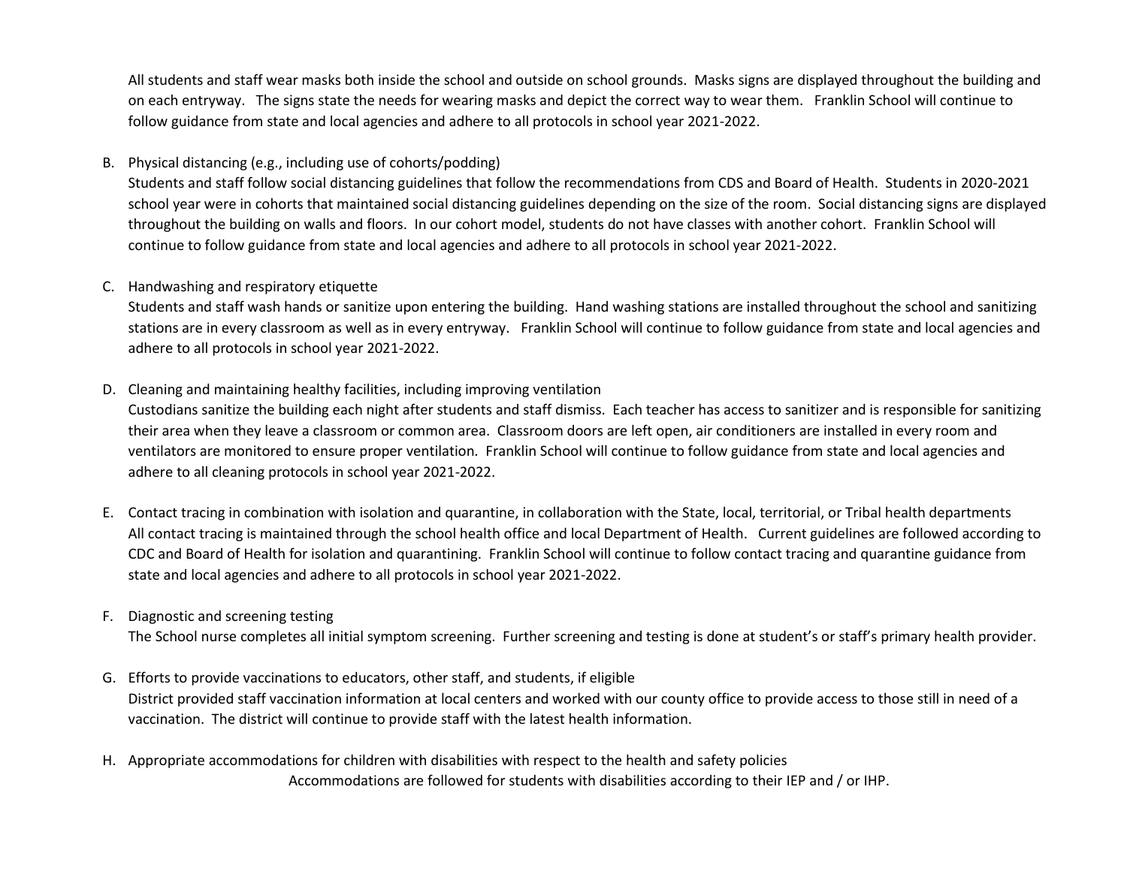All students and staff wear masks both inside the school and outside on school grounds. Masks signs are displayed throughout the building and on each entryway. The signs state the needs for wearing masks and depict the correct way to wear them. Franklin School will continue to follow guidance from state and local agencies and adhere to all protocols in school year 2021-2022.

### B. Physical distancing (e.g., including use of cohorts/podding)

Students and staff follow social distancing guidelines that follow the recommendations from CDS and Board of Health. Students in 2020-2021 school year were in cohorts that maintained social distancing guidelines depending on the size of the room. Social distancing signs are displayed throughout the building on walls and floors. In our cohort model, students do not have classes with another cohort. Franklin School will continue to follow guidance from state and local agencies and adhere to all protocols in school year 2021-2022.

#### C. Handwashing and respiratory etiquette

Students and staff wash hands or sanitize upon entering the building. Hand washing stations are installed throughout the school and sanitizing stations are in every classroom as well as in every entryway. Franklin School will continue to follow guidance from state and local agencies and adhere to all protocols in school year 2021-2022.

### D. Cleaning and maintaining healthy facilities, including improving ventilation

Custodians sanitize the building each night after students and staff dismiss. Each teacher has access to sanitizer and is responsible for sanitizing their area when they leave a classroom or common area. Classroom doors are left open, air conditioners are installed in every room and ventilators are monitored to ensure proper ventilation. Franklin School will continue to follow guidance from state and local agencies and adhere to all cleaning protocols in school year 2021-2022.

E. Contact tracing in combination with isolation and quarantine, in collaboration with the State, local, territorial, or Tribal health departments All contact tracing is maintained through the school health office and local Department of Health. Current guidelines are followed according to CDC and Board of Health for isolation and quarantining. Franklin School will continue to follow contact tracing and quarantine guidance from state and local agencies and adhere to all protocols in school year 2021-2022.

### F. Diagnostic and screening testing

The School nurse completes all initial symptom screening. Further screening and testing is done at student's or staff's primary health provider.

- G. Efforts to provide vaccinations to educators, other staff, and students, if eligible District provided staff vaccination information at local centers and worked with our county office to provide access to those still in need of a vaccination. The district will continue to provide staff with the latest health information.
- H. Appropriate accommodations for children with disabilities with respect to the health and safety policies Accommodations are followed for students with disabilities according to their IEP and / or IHP.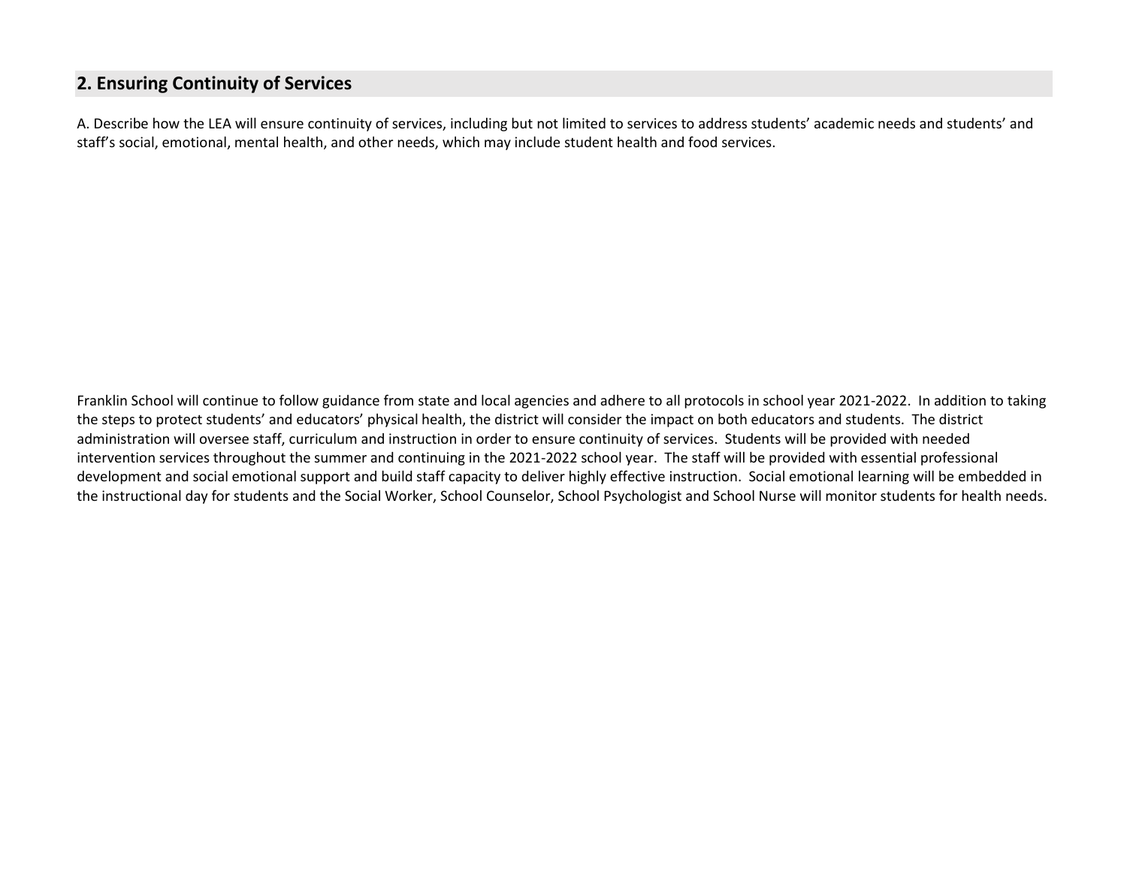# **2. Ensuring Continuity of Services**

A. Describe how the LEA will ensure continuity of services, including but not limited to services to address students' academic needs and students' and staff's social, emotional, mental health, and other needs, which may include student health and food services.

Franklin School will continue to follow guidance from state and local agencies and adhere to all protocols in school year 2021-2022. In addition to taking the steps to protect students' and educators' physical health, the district will consider the impact on both educators and students. The district administration will oversee staff, curriculum and instruction in order to ensure continuity of services. Students will be provided with needed intervention services throughout the summer and continuing in the 2021-2022 school year. The staff will be provided with essential professional development and social emotional support and build staff capacity to deliver highly effective instruction. Social emotional learning will be embedded in the instructional day for students and the Social Worker, School Counselor, School Psychologist and School Nurse will monitor students for health needs.